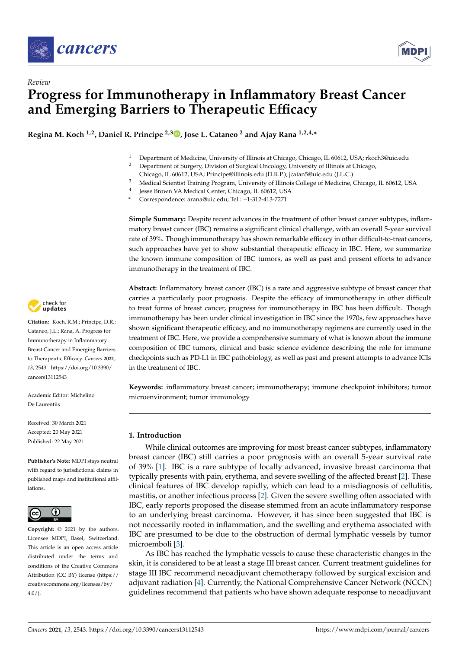

*Review*



# **Progress for Immunotherapy in Inflammatory Breast Cancer and Emerging Barriers to Therapeutic Efficacy**

**Regina M. Koch 1,2, Daniel R. Principe 2,3 [,](https://orcid.org/0000-0003-4355-6597) Jose L. Cataneo <sup>2</sup> and Ajay Rana 1,2,4,\***

- <sup>1</sup> Department of Medicine, University of Illinois at Chicago, Chicago, IL 60612, USA; rkoch3@uic.edu<br><sup>2</sup> Department of Surgery Division of Surgical Opeology University of Illinois at Chicago
	- <sup>2</sup> Department of Surgery, Division of Surgical Oncology, University of Illinois at Chicago,
	- Chicago, IL 60612, USA; Principe@illinois.edu (D.R.P.); jcatan5@uic.edu (J.L.C.)
- <sup>3</sup> Medical Scientist Training Program, University of Illinois College of Medicine, Chicago, IL 60612, USA
- 4 Jesse Brown VA Medical Center, Chicago, IL 60612, USA
- **\*** Correspondence: arana@uic.edu; Tel.: +1-312-413-7271

**Simple Summary:** Despite recent advances in the treatment of other breast cancer subtypes, inflammatory breast cancer (IBC) remains a significant clinical challenge, with an overall 5-year survival rate of 39%. Though immunotherapy has shown remarkable efficacy in other difficult-to-treat cancers, such approaches have yet to show substantial therapeutic efficacy in IBC. Here, we summarize the known immune composition of IBC tumors, as well as past and present efforts to advance immunotherapy in the treatment of IBC.

**Abstract:** Inflammatory breast cancer (IBC) is a rare and aggressive subtype of breast cancer that carries a particularly poor prognosis. Despite the efficacy of immunotherapy in other difficult to treat forms of breast cancer, progress for immunotherapy in IBC has been difficult. Though immunotherapy has been under clinical investigation in IBC since the 1970s, few approaches have shown significant therapeutic efficacy, and no immunotherapy regimens are currently used in the treatment of IBC. Here, we provide a comprehensive summary of what is known about the immune composition of IBC tumors, clinical and basic science evidence describing the role for immune checkpoints such as PD-L1 in IBC pathobiology, as well as past and present attempts to advance ICIs in the treatment of IBC.

**Keywords:** inflammatory breast cancer; immunotherapy; immune checkpoint inhibitors; tumor microenvironment; tumor immunology

# **1. Introduction**

While clinical outcomes are improving for most breast cancer subtypes, inflammatory breast cancer (IBC) still carries a poor prognosis with an overall 5-year survival rate of 39% [\[1\]](#page-9-0). IBC is a rare subtype of locally advanced, invasive breast carcinoma that typically presents with pain, erythema, and severe swelling of the affected breast [\[2\]](#page-9-1). These clinical features of IBC develop rapidly, which can lead to a misdiagnosis of cellulitis, mastitis, or another infectious process [\[2\]](#page-9-1). Given the severe swelling often associated with IBC, early reports proposed the disease stemmed from an acute inflammatory response to an underlying breast carcinoma. However, it has since been suggested that IBC is not necessarily rooted in inflammation, and the swelling and erythema associated with IBC are presumed to be due to the obstruction of dermal lymphatic vessels by tumor microemboli [\[3\]](#page-9-2).

As IBC has reached the lymphatic vessels to cause these characteristic changes in the skin, it is considered to be at least a stage III breast cancer. Current treatment guidelines for stage III IBC recommend neoadjuvant chemotherapy followed by surgical excision and adjuvant radiation [\[4\]](#page-9-3). Currently, the National Comprehensive Cancer Network (NCCN) guidelines recommend that patients who have shown adequate response to neoadjuvant



**Citation:** Koch, R.M.; Principe, D.R.; Cataneo, J.L.; Rana, A. Progress for Immunotherapy in Inflammatory Breast Cancer and Emerging Barriers to Therapeutic Efficacy. *Cancers* **2021**, *13*, 2543. [https://doi.org/10.3390/](https://doi.org/10.3390/cancers13112543) [cancers13112543](https://doi.org/10.3390/cancers13112543)

Academic Editor: Michelino De Laurentiis

Received: 30 March 2021 Accepted: 20 May 2021 Published: 22 May 2021

**Publisher's Note:** MDPI stays neutral with regard to jurisdictional claims in published maps and institutional affiliations.



**Copyright:** © 2021 by the authors. Licensee MDPI, Basel, Switzerland. This article is an open access article distributed under the terms and conditions of the Creative Commons Attribution (CC BY) license (https:/[/](https://creativecommons.org/licenses/by/4.0/) [creativecommons.org/licenses/by/](https://creativecommons.org/licenses/by/4.0/)  $4.0/$ ).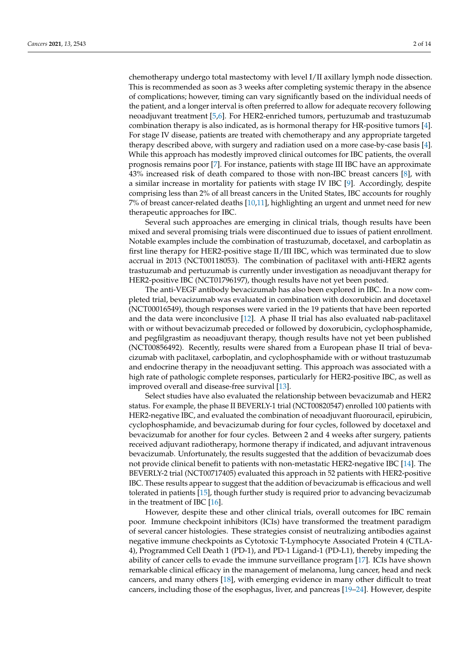chemotherapy undergo total mastectomy with level I/II axillary lymph node dissection. This is recommended as soon as 3 weeks after completing systemic therapy in the absence of complications; however, timing can vary significantly based on the individual needs of the patient, and a longer interval is often preferred to allow for adequate recovery following neoadjuvant treatment [\[5,](#page-9-4)[6\]](#page-9-5). For HER2-enriched tumors, pertuzumab and trastuzumab combination therapy is also indicated, as is hormonal therapy for HR-positive tumors [\[4\]](#page-9-3). For stage IV disease, patients are treated with chemotherapy and any appropriate targeted therapy described above, with surgery and radiation used on a more case-by-case basis [\[4\]](#page-9-3). While this approach has modestly improved clinical outcomes for IBC patients, the overall prognosis remains poor [\[7\]](#page-9-6). For instance, patients with stage III IBC have an approximate 43% increased risk of death compared to those with non-IBC breast cancers [\[8\]](#page-10-0), with a similar increase in mortality for patients with stage IV IBC [\[9\]](#page-10-1). Accordingly, despite comprising less than 2% of all breast cancers in the United States, IBC accounts for roughly 7% of breast cancer-related deaths [\[10](#page-10-2)[,11\]](#page-10-3), highlighting an urgent and unmet need for new therapeutic approaches for IBC.

Several such approaches are emerging in clinical trials, though results have been mixed and several promising trials were discontinued due to issues of patient enrollment. Notable examples include the combination of trastuzumab, docetaxel, and carboplatin as first line therapy for HER2-positive stage II/III IBC, which was terminated due to slow accrual in 2013 (NCT00118053). The combination of paclitaxel with anti-HER2 agents trastuzumab and pertuzumab is currently under investigation as neoadjuvant therapy for HER2-positive IBC (NCT01796197), though results have not yet been posted.

The anti-VEGF antibody bevacizumab has also been explored in IBC. In a now completed trial, bevacizumab was evaluated in combination with doxorubicin and docetaxel (NCT00016549), though responses were varied in the 19 patients that have been reported and the data were inconclusive [\[12\]](#page-10-4). A phase II trial has also evaluated nab-paclitaxel with or without bevacizumab preceded or followed by doxorubicin, cyclophosphamide, and pegfilgrastim as neoadjuvant therapy, though results have not yet been published (NCT00856492). Recently, results were shared from a European phase II trial of bevacizumab with paclitaxel, carboplatin, and cyclophosphamide with or without trastuzumab and endocrine therapy in the neoadjuvant setting. This approach was associated with a high rate of pathologic complete responses, particularly for HER2-positive IBC, as well as improved overall and disease-free survival [\[13\]](#page-10-5).

Select studies have also evaluated the relationship between bevacizumab and HER2 status. For example, the phase II BEVERLY-1 trial (NCT00820547) enrolled 100 patients with HER2-negative IBC, and evaluated the combination of neoadjuvant fluorouracil, epirubicin, cyclophosphamide, and bevacizumab during for four cycles, followed by docetaxel and bevacizumab for another for four cycles. Between 2 and 4 weeks after surgery, patients received adjuvant radiotherapy, hormone therapy if indicated, and adjuvant intravenous bevacizumab. Unfortunately, the results suggested that the addition of bevacizumab does not provide clinical benefit to patients with non-metastatic HER2-negative IBC [\[14\]](#page-10-6). The BEVERLY-2 trial (NCT00717405) evaluated this approach in 52 patients with HER2-positive IBC. These results appear to suggest that the addition of bevacizumab is efficacious and well tolerated in patients [\[15\]](#page-10-7), though further study is required prior to advancing bevacizumab in the treatment of IBC [\[16\]](#page-10-8).

However, despite these and other clinical trials, overall outcomes for IBC remain poor. Immune checkpoint inhibitors (ICIs) have transformed the treatment paradigm of several cancer histologies. These strategies consist of neutralizing antibodies against negative immune checkpoints as Cytotoxic T-Lymphocyte Associated Protein 4 (CTLA-4), Programmed Cell Death 1 (PD-1), and PD-1 Ligand-1 (PD-L1), thereby impeding the ability of cancer cells to evade the immune surveillance program [\[17\]](#page-10-9). ICIs have shown remarkable clinical efficacy in the management of melanoma, lung cancer, head and neck cancers, and many others [\[18\]](#page-10-10), with emerging evidence in many other difficult to treat cancers, including those of the esophagus, liver, and pancreas [\[19–](#page-10-11)[24\]](#page-10-12). However, despite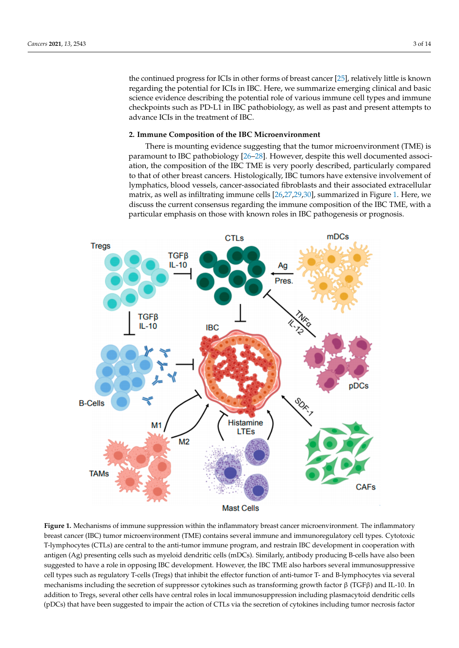the continued progress for ICIs in other forms of breast cancer [\[25\]](#page-10-13), relatively little is known the continued progress for ICIs in other forms of breast cancer [25], relatively little is regarding the potential for ICIs in IBC. Here, we summarize emerging clinical and basic science evidence describing the potential role of various immune cell types and immune checkpoints such as PD-L1 in IBC pathobiology, as well as past and present attempts to advance ICIs in the treatment of IBC.

# **2. Immune Composition of the IBC Microenvironment 2. Immune Composition of the IBC Microenvironment**

There is mounting evidence suggesting that the tumor microenvironment (TME) is There is mounting evidence suggesting that the tumor microenvironment (TME) is paramount to IBC pathobiolog[y \[26](#page-10-14)[–28](#page-10-15)]. However, despite this well documented association, the composition of the IBC TME is very poorly described, particularly compared to that of other breast cancers. Histologically, IBC tumors have extensive involvement of that of other breast cancers. Histologically, IBC tumors have extensive involvement of lymphatics, blood vessels, cancer-associated fibroblasts and their associated extracellular lymphatics, blood vessels, cancer-associated fibroblasts and their associated extracellular matrix, as well as infiltrating immune cells [\[26](#page-10-14)[,27](#page-10-16)[,29](#page-10-17)[,30\]](#page-10-18), summarized in Figure 1. Here, we matrix, as well as infiltrating immune cells [26,27,29,30], summarized in Fi[gu](#page-2-0)re 1. Here, discuss the current consensus regarding the immune composition of the IBC TME, with a particular emphasis on those with known roles in IBC pathogenesis or prognosis.

<span id="page-2-0"></span>

Figure 1. Mechanisms of immune suppression within the inflammatory breast cancer microenvironment. The inflammatory breast cancer (IBC) tumor microenvironment (TME) contains several immune and immunoregulatory cell types. Cytotoxic T-lymphocytes (CTLs) are central to the anti-tumor immune program, and restrain IBC development in cooperation with antigen (Ag) presenting cells such as myeloid dendritic cells (mDCs). Similarly, antibody producing B-cells have also been  $\frac{1}{\sqrt{100}}$  between suggested to have a role in opposition of  $\frac{1}{\sqrt{100}}$  TME also have  $\frac{1}{\sqrt{100}}$  TME also have  $\frac{1}{\sqrt{100}}$ suggested to have a role in opposing IBC development. However, the IBC TME also harbors several immunosuppressive<br> cell types such as regulatory T-cells (Tregs) that inhibit the effector function of anti-tumor T- and B-lymphocytes via several mechanisms including the secretion of suppressor cytokines such as transforming growth factor  $\beta$  (TGF $\beta$ ) and IL-10. In addition to Tregs, several other cells have central roles in local immunosuppression including plasmacytoid dendritic cells (pDCs) that have been suggested to impair the action of CTLs via the secretion of cytokines including tumor necrosis factor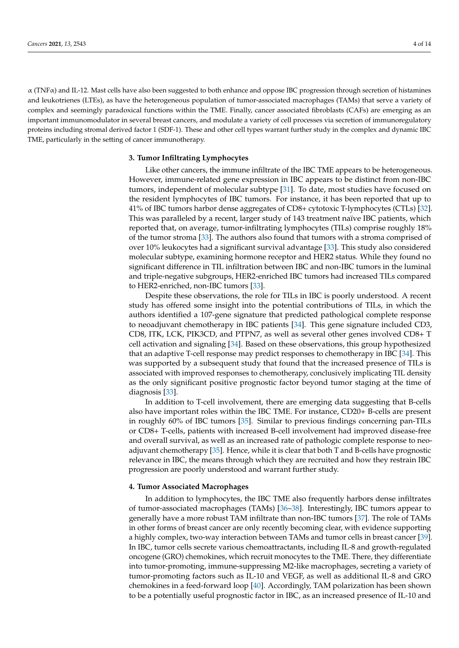$\alpha$  (TNF $\alpha$ ) and IL-12. Mast cells have also been suggested to both enhance and oppose IBC progression through secretion of histamines and leukotrienes (LTEs), as have the heterogeneous population of tumor-associated macrophages (TAMs) that serve a variety of complex and seemingly paradoxical functions within the TME. Finally, cancer associated fibroblasts (CAFs) are emerging as an important immunomodulator in several breast cancers, and modulate a variety of cell processes via secretion of immunoregulatory proteins including stromal derived factor 1 (SDF-1). These and other cell types warrant further study in the complex and dynamic IBC TME, particularly in the setting of cancer immunotherapy.

## **3. Tumor Infiltrating Lymphocytes**

Like other cancers, the immune infiltrate of the IBC TME appears to be heterogeneous. However, immune-related gene expression in IBC appears to be distinct from non-IBC tumors, independent of molecular subtype [\[31\]](#page-11-0). To date, most studies have focused on the resident lymphocytes of IBC tumors. For instance, it has been reported that up to 41% of IBC tumors harbor dense aggregates of CD8+ cytotoxic T-lymphocytes (CTLs) [\[32\]](#page-11-1). This was paralleled by a recent, larger study of 143 treatment naïve IBC patients, which reported that, on average, tumor-infiltrating lymphocytes (TILs) comprise roughly 18% of the tumor stroma [\[33\]](#page-11-2). The authors also found that tumors with a stroma comprised of over 10% leukocytes had a significant survival advantage [\[33\]](#page-11-2). This study also considered molecular subtype, examining hormone receptor and HER2 status. While they found no significant difference in TIL infiltration between IBC and non-IBC tumors in the luminal and triple-negative subgroups, HER2-enriched IBC tumors had increased TILs compared to HER2-enriched, non-IBC tumors [\[33\]](#page-11-2).

Despite these observations, the role for TILs in IBC is poorly understood. A recent study has offered some insight into the potential contributions of TILs, in which the authors identified a 107-gene signature that predicted pathological complete response to neoadjuvant chemotherapy in IBC patients [\[34\]](#page-11-3). This gene signature included CD3, CD8, ITK, LCK, PIK3CD, and PTPN7, as well as several other genes involved CD8+ T cell activation and signaling [\[34\]](#page-11-3). Based on these observations, this group hypothesized that an adaptive T-cell response may predict responses to chemotherapy in IBC [\[34\]](#page-11-3). This was supported by a subsequent study that found that the increased presence of TILs is associated with improved responses to chemotherapy, conclusively implicating TIL density as the only significant positive prognostic factor beyond tumor staging at the time of diagnosis [\[33\]](#page-11-2).

In addition to T-cell involvement, there are emerging data suggesting that B-cells also have important roles within the IBC TME. For instance, CD20+ B-cells are present in roughly 60% of IBC tumors [\[35\]](#page-11-4). Similar to previous findings concerning pan-TILs or CD8+ T-cells, patients with increased B-cell involvement had improved disease-free and overall survival, as well as an increased rate of pathologic complete response to neoadjuvant chemotherapy [\[35\]](#page-11-4). Hence, while it is clear that both T and B-cells have prognostic relevance in IBC, the means through which they are recruited and how they restrain IBC progression are poorly understood and warrant further study.

#### **4. Tumor Associated Macrophages**

In addition to lymphocytes, the IBC TME also frequently harbors dense infiltrates of tumor-associated macrophages (TAMs) [\[36](#page-11-5)[–38\]](#page-11-6). Interestingly, IBC tumors appear to generally have a more robust TAM infiltrate than non-IBC tumors [\[37\]](#page-11-7). The role of TAMs in other forms of breast cancer are only recently becoming clear, with evidence supporting a highly complex, two-way interaction between TAMs and tumor cells in breast cancer [\[39\]](#page-11-8). In IBC, tumor cells secrete various chemoattractants, including IL-8 and growth-regulated oncogene (GRO) chemokines, which recruit monocytes to the TME. There, they differentiate into tumor-promoting, immune-suppressing M2-like macrophages, secreting a variety of tumor-promoting factors such as IL-10 and VEGF, as well as additional IL-8 and GRO chemokines in a feed-forward loop [\[40\]](#page-11-9). Accordingly, TAM polarization has been shown to be a potentially useful prognostic factor in IBC, as an increased presence of IL-10 and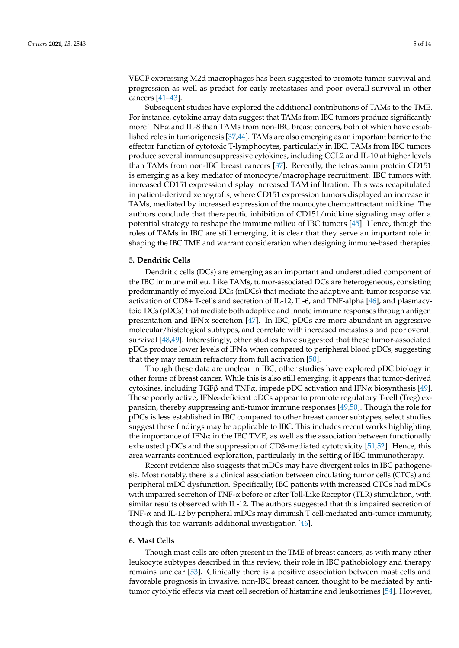VEGF expressing M2d macrophages has been suggested to promote tumor survival and progression as well as predict for early metastases and poor overall survival in other cancers [\[41–](#page-11-10)[43\]](#page-11-11).

Subsequent studies have explored the additional contributions of TAMs to the TME. For instance, cytokine array data suggest that TAMs from IBC tumors produce significantly more  $TNF\alpha$  and IL-8 than TAMs from non-IBC breast cancers, both of which have established roles in tumorigenesis [\[37](#page-11-7)[,44\]](#page-11-12). TAMs are also emerging as an important barrier to the effector function of cytotoxic T-lymphocytes, particularly in IBC. TAMs from IBC tumors produce several immunosuppressive cytokines, including CCL2 and IL-10 at higher levels than TAMs from non-IBC breast cancers [\[37\]](#page-11-7). Recently, the tetraspanin protein CD151 is emerging as a key mediator of monocyte/macrophage recruitment. IBC tumors with increased CD151 expression display increased TAM infiltration. This was recapitulated in patient-derived xenografts, where CD151 expression tumors displayed an increase in TAMs, mediated by increased expression of the monocyte chemoattractant midkine. The authors conclude that therapeutic inhibition of CD151/midkine signaling may offer a potential strategy to reshape the immune milieu of IBC tumors [\[45\]](#page-11-13). Hence, though the roles of TAMs in IBC are still emerging, it is clear that they serve an important role in shaping the IBC TME and warrant consideration when designing immune-based therapies.

## **5. Dendritic Cells**

Dendritic cells (DCs) are emerging as an important and understudied component of the IBC immune milieu. Like TAMs, tumor-associated DCs are heterogeneous, consisting predominantly of myeloid DCs (mDCs) that mediate the adaptive anti-tumor response via activation of CD8+ T-cells and secretion of IL-12, IL-6, and TNF-alpha [\[46\]](#page-11-14), and plasmacytoid DCs (pDCs) that mediate both adaptive and innate immune responses through antigen presentation and IFN $\alpha$  secretion [\[47\]](#page-11-15). In IBC, pDCs are more abundant in aggressive molecular/histological subtypes, and correlate with increased metastasis and poor overall survival [\[48,](#page-11-16)[49\]](#page-11-17). Interestingly, other studies have suggested that these tumor-associated pDCs produce lower levels of IFN $\alpha$  when compared to peripheral blood pDCs, suggesting that they may remain refractory from full activation [\[50\]](#page-11-18).

Though these data are unclear in IBC, other studies have explored pDC biology in other forms of breast cancer. While this is also still emerging, it appears that tumor-derived cytokines, including TGFβ and TNFα, impede pDC activation and IFNα biosynthesis [\[49\]](#page-11-17). These poorly active, IFNα-deficient pDCs appear to promote regulatory T-cell (Treg) expansion, thereby suppressing anti-tumor immune responses [\[49](#page-11-17)[,50\]](#page-11-18). Though the role for pDCs is less established in IBC compared to other breast cancer subtypes, select studies suggest these findings may be applicable to IBC. This includes recent works highlighting the importance of IFN $\alpha$  in the IBC TME, as well as the association between functionally exhausted pDCs and the suppression of CD8-mediated cytotoxicity [\[51](#page-11-19)[,52\]](#page-11-20). Hence, this area warrants continued exploration, particularly in the setting of IBC immunotherapy.

Recent evidence also suggests that mDCs may have divergent roles in IBC pathogenesis. Most notably, there is a clinical association between circulating tumor cells (CTCs) and peripheral mDC dysfunction. Specifically, IBC patients with increased CTCs had mDCs with impaired secretion of TNF- $\alpha$  before or after Toll-Like Receptor (TLR) stimulation, with similar results observed with IL-12. The authors suggested that this impaired secretion of TNF-α and IL-12 by peripheral mDCs may diminish T cell-mediated anti-tumor immunity, though this too warrants additional investigation [\[46\]](#page-11-14).

## **6. Mast Cells**

Though mast cells are often present in the TME of breast cancers, as with many other leukocyte subtypes described in this review, their role in IBC pathobiology and therapy remains unclear [\[53\]](#page-12-0). Clinically there is a positive association between mast cells and favorable prognosis in invasive, non-IBC breast cancer, thought to be mediated by antitumor cytolytic effects via mast cell secretion of histamine and leukotrienes [\[54\]](#page-12-1). However,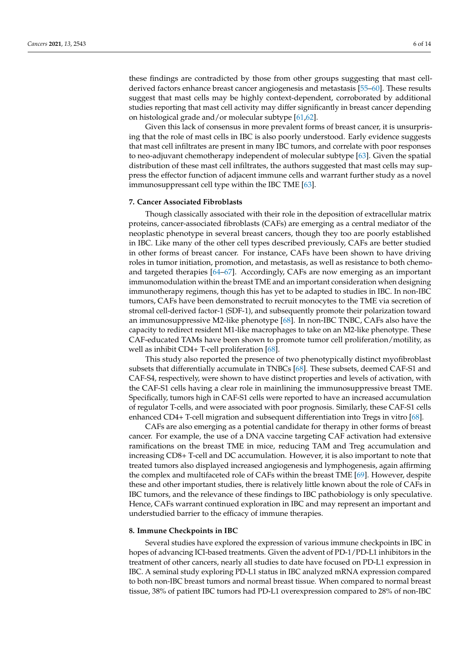these findings are contradicted by those from other groups suggesting that mast cellderived factors enhance breast cancer angiogenesis and metastasis [\[55](#page-12-2)[–60\]](#page-12-3). These results suggest that mast cells may be highly context-dependent, corroborated by additional studies reporting that mast cell activity may differ significantly in breast cancer depending on histological grade and/or molecular subtype [\[61](#page-12-4)[,62\]](#page-12-5).

Given this lack of consensus in more prevalent forms of breast cancer, it is unsurprising that the role of mast cells in IBC is also poorly understood. Early evidence suggests that mast cell infiltrates are present in many IBC tumors, and correlate with poor responses to neo-adjuvant chemotherapy independent of molecular subtype [\[63\]](#page-12-6). Given the spatial distribution of these mast cell infiltrates, the authors suggested that mast cells may suppress the effector function of adjacent immune cells and warrant further study as a novel immunosuppressant cell type within the IBC TME [\[63\]](#page-12-6).

## **7. Cancer Associated Fibroblasts**

Though classically associated with their role in the deposition of extracellular matrix proteins, cancer-associated fibroblasts (CAFs) are emerging as a central mediator of the neoplastic phenotype in several breast cancers, though they too are poorly established in IBC. Like many of the other cell types described previously, CAFs are better studied in other forms of breast cancer. For instance, CAFs have been shown to have driving roles in tumor initiation, promotion, and metastasis, as well as resistance to both chemoand targeted therapies [\[64](#page-12-7)[–67\]](#page-12-8). Accordingly, CAFs are now emerging as an important immunomodulation within the breast TME and an important consideration when designing immunotherapy regimens, though this has yet to be adapted to studies in IBC. In non-IBC tumors, CAFs have been demonstrated to recruit monocytes to the TME via secretion of stromal cell-derived factor-1 (SDF-1), and subsequently promote their polarization toward an immunosuppressive M2-like phenotype [\[68\]](#page-12-9). In non-IBC TNBC, CAFs also have the capacity to redirect resident M1-like macrophages to take on an M2-like phenotype. These CAF-educated TAMs have been shown to promote tumor cell proliferation/motility, as well as inhibit CD4+ T-cell proliferation [\[68\]](#page-12-9).

This study also reported the presence of two phenotypically distinct myofibroblast subsets that differentially accumulate in TNBCs [\[68\]](#page-12-9). These subsets, deemed CAF-S1 and CAF-S4, respectively, were shown to have distinct properties and levels of activation, with the CAF-S1 cells having a clear role in mainlining the immunosuppressive breast TME. Specifically, tumors high in CAF-S1 cells were reported to have an increased accumulation of regulator T-cells, and were associated with poor prognosis. Similarly, these CAF-S1 cells enhanced CD4+ T-cell migration and subsequent differentiation into Tregs in vitro [\[68\]](#page-12-9).

CAFs are also emerging as a potential candidate for therapy in other forms of breast cancer. For example, the use of a DNA vaccine targeting CAF activation had extensive ramifications on the breast TME in mice, reducing TAM and Treg accumulation and increasing CD8+ T-cell and DC accumulation. However, it is also important to note that treated tumors also displayed increased angiogenesis and lymphogenesis, again affirming the complex and multifaceted role of CAFs within the breast TME [\[69\]](#page-12-10). However, despite these and other important studies, there is relatively little known about the role of CAFs in IBC tumors, and the relevance of these findings to IBC pathobiology is only speculative. Hence, CAFs warrant continued exploration in IBC and may represent an important and understudied barrier to the efficacy of immune therapies.

#### **8. Immune Checkpoints in IBC**

Several studies have explored the expression of various immune checkpoints in IBC in hopes of advancing ICI-based treatments. Given the advent of PD-1/PD-L1 inhibitors in the treatment of other cancers, nearly all studies to date have focused on PD-L1 expression in IBC. A seminal study exploring PD-L1 status in IBC analyzed mRNA expression compared to both non-IBC breast tumors and normal breast tissue. When compared to normal breast tissue, 38% of patient IBC tumors had PD-L1 overexpression compared to 28% of non-IBC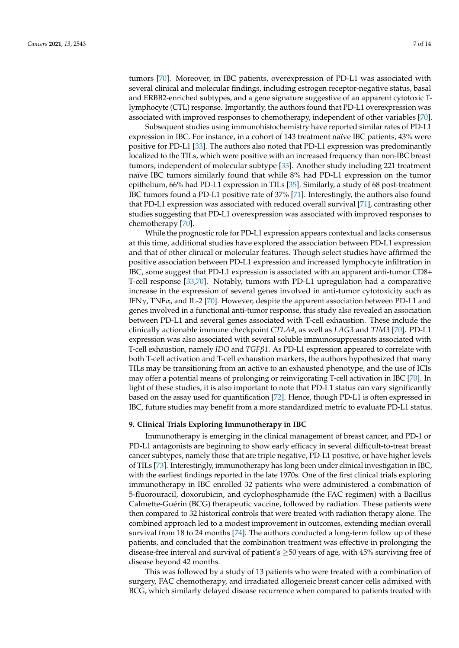tumors [\[70\]](#page-12-11). Moreover, in IBC patients, overexpression of PD-L1 was associated with several clinical and molecular findings, including estrogen receptor-negative status, basal and ERBB2-enriched subtypes, and a gene signature suggestive of an apparent cytotoxic Tlymphocyte (CTL) response. Importantly, the authors found that PD-L1 overexpression was associated with improved responses to chemotherapy, independent of other variables [\[70\]](#page-12-11).

Subsequent studies using immunohistochemistry have reported similar rates of PD-L1 expression in IBC. For instance, in a cohort of 143 treatment naïve IBC patients, 43% were positive for PD-L1 [\[33\]](#page-11-2). The authors also noted that PD-L1 expression was predominantly localized to the TILs, which were positive with an increased frequency than non-IBC breast tumors, independent of molecular subtype [\[33\]](#page-11-2). Another study including 221 treatment naïve IBC tumors similarly found that while 8% had PD-L1 expression on the tumor epithelium, 66% had PD-L1 expression in TILs [\[35\]](#page-11-4). Similarly, a study of 68 post-treatment IBC tumors found a PD-L1 positive rate of 37% [\[71\]](#page-12-12). Interestingly, the authors also found that PD-L1 expression was associated with reduced overall survival [\[71\]](#page-12-12), contrasting other studies suggesting that PD-L1 overexpression was associated with improved responses to chemotherapy [\[70\]](#page-12-11).

While the prognostic role for PD-L1 expression appears contextual and lacks consensus at this time, additional studies have explored the association between PD-L1 expression and that of other clinical or molecular features. Though select studies have affirmed the positive association between PD-L1 expression and increased lymphocyte infiltration in IBC, some suggest that PD-L1 expression is associated with an apparent anti-tumor CD8+ T-cell response [\[33](#page-11-2)[,70\]](#page-12-11). Notably, tumors with PD-L1 upregulation had a comparative increase in the expression of several genes involved in anti-tumor cytotoxicity such as IFN $\gamma$ , TNF $\alpha$ , and IL-2 [\[70\]](#page-12-11). However, despite the apparent association between PD-L1 and genes involved in a functional anti-tumor response, this study also revealed an association between PD-L1 and several genes associated with T-cell exhaustion. These include the clinically actionable immune checkpoint *CTLA4*, as well as *LAG3* and *TIM3* [\[70\]](#page-12-11). PD-L1 expression was also associated with several soluble immunosuppressants associated with T-cell exhaustion, namely *IDO* and *TGFβ1*. As PD-L1 expression appeared to correlate with both T-cell activation and T-cell exhaustion markers, the authors hypothesized that many TILs may be transitioning from an active to an exhausted phenotype, and the use of ICIs may offer a potential means of prolonging or reinvigorating T-cell activation in IBC [\[70\]](#page-12-11). In light of these studies, it is also important to note that PD-L1 status can vary significantly based on the assay used for quantification [\[72\]](#page-12-13). Hence, though PD-L1 is often expressed in IBC, future studies may benefit from a more standardized metric to evaluate PD-L1 status.

#### **9. Clinical Trials Exploring Immunotherapy in IBC**

Immunotherapy is emerging in the clinical management of breast cancer, and PD-1 or PD-L1 antagonists are beginning to show early efficacy in several difficult-to-treat breast cancer subtypes, namely those that are triple negative, PD-L1 positive, or have higher levels of TILs [\[73\]](#page-12-14). Interestingly, immunotherapy has long been under clinical investigation in IBC, with the earliest findings reported in the late 1970s. One of the first clinical trials exploring immunotherapy in IBC enrolled 32 patients who were administered a combination of 5-fluorouracil, doxorubicin, and cyclophosphamide (the FAC regimen) with a Bacillus Calmette-Guérin (BCG) therapeutic vaccine, followed by radiation. These patients were then compared to 32 historical controls that were treated with radiation therapy alone. The combined approach led to a modest improvement in outcomes, extending median overall survival from 18 to 24 months [\[74\]](#page-12-15). The authors conducted a long-term follow up of these patients, and concluded that the combination treatment was effective in prolonging the disease-free interval and survival of patient's  $\geq$ 50 years of age, with 45% surviving free of disease beyond 42 months.

This was followed by a study of 13 patients who were treated with a combination of surgery, FAC chemotherapy, and irradiated allogeneic breast cancer cells admixed with BCG, which similarly delayed disease recurrence when compared to patients treated with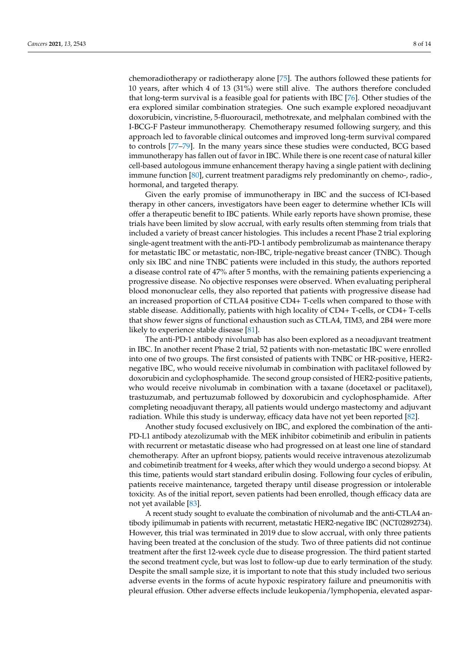chemoradiotherapy or radiotherapy alone [\[75\]](#page-13-0). The authors followed these patients for 10 years, after which 4 of 13 (31%) were still alive. The authors therefore concluded that long-term survival is a feasible goal for patients with IBC [\[76\]](#page-13-1). Other studies of the era explored similar combination strategies. One such example explored neoadjuvant doxorubicin, vincristine, 5-fluorouracil, methotrexate, and melphalan combined with the I-BCG-F Pasteur immunotherapy. Chemotherapy resumed following surgery, and this approach led to favorable clinical outcomes and improved long-term survival compared to controls [\[77–](#page-13-2)[79\]](#page-13-3). In the many years since these studies were conducted, BCG based immunotherapy has fallen out of favor in IBC. While there is one recent case of natural killer cell-based autologous immune enhancement therapy having a single patient with declining immune function [\[80\]](#page-13-4), current treatment paradigms rely predominantly on chemo-, radio-, hormonal, and targeted therapy.

Given the early promise of immunotherapy in IBC and the success of ICI-based therapy in other cancers, investigators have been eager to determine whether ICIs will offer a therapeutic benefit to IBC patients. While early reports have shown promise, these trials have been limited by slow accrual, with early results often stemming from trials that included a variety of breast cancer histologies. This includes a recent Phase 2 trial exploring single-agent treatment with the anti-PD-1 antibody pembrolizumab as maintenance therapy for metastatic IBC or metastatic, non-IBC, triple-negative breast cancer (TNBC). Though only six IBC and nine TNBC patients were included in this study, the authors reported a disease control rate of 47% after 5 months, with the remaining patients experiencing a progressive disease. No objective responses were observed. When evaluating peripheral blood mononuclear cells, they also reported that patients with progressive disease had an increased proportion of CTLA4 positive CD4+ T-cells when compared to those with stable disease. Additionally, patients with high locality of CD4+ T-cells, or CD4+ T-cells that show fewer signs of functional exhaustion such as CTLA4, TIM3, and 2B4 were more likely to experience stable disease [\[81\]](#page-13-5).

The anti-PD-1 antibody nivolumab has also been explored as a neoadjuvant treatment in IBC. In another recent Phase 2 trial, 52 patients with non-metastatic IBC were enrolled into one of two groups. The first consisted of patients with TNBC or HR-positive, HER2 negative IBC, who would receive nivolumab in combination with paclitaxel followed by doxorubicin and cyclophosphamide. The second group consisted of HER2-positive patients, who would receive nivolumab in combination with a taxane (docetaxel or paclitaxel), trastuzumab, and pertuzumab followed by doxorubicin and cyclophosphamide. After completing neoadjuvant therapy, all patients would undergo mastectomy and adjuvant radiation. While this study is underway, efficacy data have not yet been reported [\[82\]](#page-13-6).

Another study focused exclusively on IBC, and explored the combination of the anti-PD-L1 antibody atezolizumab with the MEK inhibitor cobimetinib and eribulin in patients with recurrent or metastatic disease who had progressed on at least one line of standard chemotherapy. After an upfront biopsy, patients would receive intravenous atezolizumab and cobimetinib treatment for 4 weeks, after which they would undergo a second biopsy. At this time, patients would start standard eribulin dosing. Following four cycles of eribulin, patients receive maintenance, targeted therapy until disease progression or intolerable toxicity. As of the initial report, seven patients had been enrolled, though efficacy data are not yet available [\[83\]](#page-13-7).

A recent study sought to evaluate the combination of nivolumab and the anti-CTLA4 antibody ipilimumab in patients with recurrent, metastatic HER2-negative IBC (NCT02892734). However, this trial was terminated in 2019 due to slow accrual, with only three patients having been treated at the conclusion of the study. Two of three patients did not continue treatment after the first 12-week cycle due to disease progression. The third patient started the second treatment cycle, but was lost to follow-up due to early termination of the study. Despite the small sample size, it is important to note that this study included two serious adverse events in the forms of acute hypoxic respiratory failure and pneumonitis with pleural effusion. Other adverse effects include leukopenia/lymphopenia, elevated aspar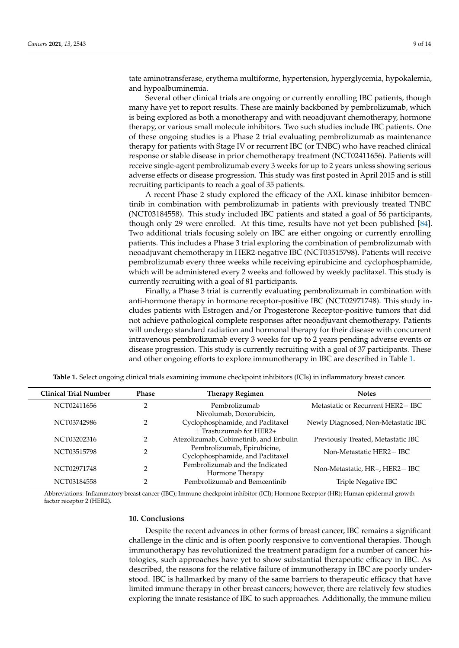tate aminotransferase, erythema multiforme, hypertension, hyperglycemia, hypokalemia, and hypoalbuminemia.

Several other clinical trials are ongoing or currently enrolling IBC patients, though many have yet to report results. These are mainly backboned by pembrolizumab, which is being explored as both a monotherapy and with neoadjuvant chemotherapy, hormone therapy, or various small molecule inhibitors. Two such studies include IBC patients. One of these ongoing studies is a Phase 2 trial evaluating pembrolizumab as maintenance therapy for patients with Stage IV or recurrent IBC (or TNBC) who have reached clinical response or stable disease in prior chemotherapy treatment (NCT02411656). Patients will receive single-agent pembrolizumab every 3 weeks for up to 2 years unless showing serious adverse effects or disease progression. This study was first posted in April 2015 and is still recruiting participants to reach a goal of 35 patients.

A recent Phase 2 study explored the efficacy of the AXL kinase inhibitor bemcentinib in combination with pembrolizumab in patients with previously treated TNBC (NCT03184558). This study included IBC patients and stated a goal of 56 participants, though only 29 were enrolled. At this time, results have not yet been published [\[84\]](#page-13-8). Two additional trials focusing solely on IBC are either ongoing or currently enrolling patients. This includes a Phase 3 trial exploring the combination of pembrolizumab with neoadjuvant chemotherapy in HER2-negative IBC (NCT03515798). Patients will receive pembrolizumab every three weeks while receiving epirubicine and cyclophosphamide, which will be administered every 2 weeks and followed by weekly paclitaxel. This study is currently recruiting with a goal of 81 participants.

Finally, a Phase 3 trial is currently evaluating pembrolizumab in combination with anti-hormone therapy in hormone receptor-positive IBC (NCT02971748). This study includes patients with Estrogen and/or Progesterone Receptor-positive tumors that did not achieve pathological complete responses after neoadjuvant chemotherapy. Patients will undergo standard radiation and hormonal therapy for their disease with concurrent intravenous pembrolizumab every 3 weeks for up to 2 years pending adverse events or disease progression. This study is currently recruiting with a goal of 37 participants. These and other ongoing efforts to explore immunotherapy in IBC are described in Table [1.](#page-8-0)

<span id="page-8-0"></span>

| <b>Clinical Trial Number</b> | <b>Phase</b>   | <b>Therapy Regimen</b>                  | <b>Notes</b>                        |
|------------------------------|----------------|-----------------------------------------|-------------------------------------|
| NCT02411656                  | ◠              | Pembrolizumab                           | Metastatic or Recurrent HER2-IBC    |
|                              |                | Nivolumab, Doxorubicin,                 |                                     |
| NCT03742986                  | 2              | Cyclophosphamide, and Paclitaxel        | Newly Diagnosed, Non-Metastatic IBC |
|                              |                | $+$ Trastuzumab for HER2+               |                                     |
| NCT03202316                  | 2              | Atezolizumab, Cobimetinib, and Eribulin | Previously Treated, Metastatic IBC  |
| NCT03515798                  | 2              | Pembrolizumab, Epirubicine,             | Non-Metastatic HER2-IBC             |
|                              |                | Cyclophosphamide, and Paclitaxel        |                                     |
| NCT02971748                  | $\overline{2}$ | Pembrolizumab and the Indicated         | Non-Metastatic, HR+, HER2-IBC       |
|                              |                | Hormone Therapy                         |                                     |
| NCT03184558                  |                | Pembrolizumab and Bemcentinib           | Triple Negative IBC                 |

**Table 1.** Select ongoing clinical trials examining immune checkpoint inhibitors (ICIs) in inflammatory breast cancer.

Abbreviations: Inflammatory breast cancer (IBC); Immune checkpoint inhibitor (ICI); Hormone Receptor (HR); Human epidermal growth factor receptor 2 (HER2).

#### **10. Conclusions**

Despite the recent advances in other forms of breast cancer, IBC remains a significant challenge in the clinic and is often poorly responsive to conventional therapies. Though immunotherapy has revolutionized the treatment paradigm for a number of cancer histologies, such approaches have yet to show substantial therapeutic efficacy in IBC. As described, the reasons for the relative failure of immunotherapy in IBC are poorly understood. IBC is hallmarked by many of the same barriers to therapeutic efficacy that have limited immune therapy in other breast cancers; however, there are relatively few studies exploring the innate resistance of IBC to such approaches. Additionally, the immune milieu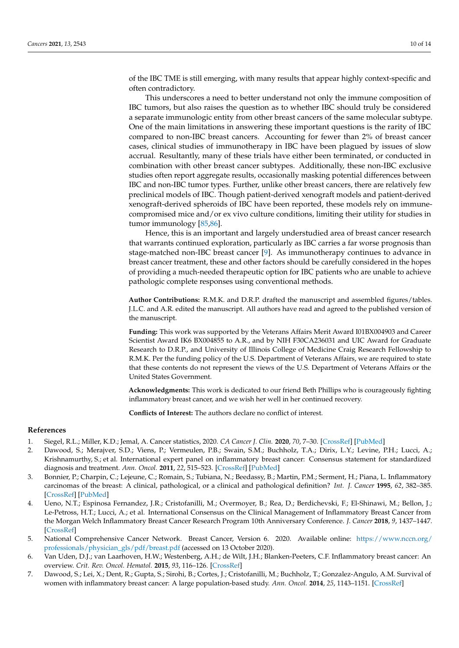of the IBC TME is still emerging, with many results that appear highly context-specific and often contradictory.

This underscores a need to better understand not only the immune composition of IBC tumors, but also raises the question as to whether IBC should truly be considered a separate immunologic entity from other breast cancers of the same molecular subtype. One of the main limitations in answering these important questions is the rarity of IBC compared to non-IBC breast cancers. Accounting for fewer than 2% of breast cancer cases, clinical studies of immunotherapy in IBC have been plagued by issues of slow accrual. Resultantly, many of these trials have either been terminated, or conducted in combination with other breast cancer subtypes. Additionally, these non-IBC exclusive studies often report aggregate results, occasionally masking potential differences between IBC and non-IBC tumor types. Further, unlike other breast cancers, there are relatively few preclinical models of IBC. Though patient-derived xenograft models and patient-derived xenograft-derived spheroids of IBC have been reported, these models rely on immunecompromised mice and/or ex vivo culture conditions, limiting their utility for studies in tumor immunology [\[85,](#page-13-9)[86\]](#page-13-10).

Hence, this is an important and largely understudied area of breast cancer research that warrants continued exploration, particularly as IBC carries a far worse prognosis than stage-matched non-IBC breast cancer [\[9\]](#page-10-1). As immunotherapy continues to advance in breast cancer treatment, these and other factors should be carefully considered in the hopes of providing a much-needed therapeutic option for IBC patients who are unable to achieve pathologic complete responses using conventional methods.

**Author Contributions:** R.M.K. and D.R.P. drafted the manuscript and assembled figures/tables. J.L.C. and A.R. edited the manuscript. All authors have read and agreed to the published version of the manuscript.

**Funding:** This work was supported by the Veterans Affairs Merit Award I01BX004903 and Career Scientist Award IK6 BX004855 to A.R., and by NIH F30CA236031 and UIC Award for Graduate Research to D.R.P., and University of Illinois College of Medicine Craig Research Fellowship to R.M.K. Per the funding policy of the U.S. Department of Veterans Affairs, we are required to state that these contents do not represent the views of the U.S. Department of Veterans Affairs or the United States Government.

**Acknowledgments:** This work is dedicated to our friend Beth Phillips who is courageously fighting inflammatory breast cancer, and we wish her well in her continued recovery.

**Conflicts of Interest:** The authors declare no conflict of interest.

#### **References**

- <span id="page-9-0"></span>1. Siegel, R.L.; Miller, K.D.; Jemal, A. Cancer statistics, 2020. *CA Cancer J. Clin.* **2020**, *70*, 7–30. [\[CrossRef\]](http://doi.org/10.3322/caac.21590) [\[PubMed\]](http://www.ncbi.nlm.nih.gov/pubmed/31912902)
- <span id="page-9-1"></span>2. Dawood, S.; Merajver, S.D.; Viens, P.; Vermeulen, P.B.; Swain, S.M.; Buchholz, T.A.; Dirix, L.Y.; Levine, P.H.; Lucci, A.; Krishnamurthy, S.; et al. International expert panel on inflammatory breast cancer: Consensus statement for standardized diagnosis and treatment. *Ann. Oncol.* **2011**, *22*, 515–523. [\[CrossRef\]](http://doi.org/10.1093/annonc/mdq345) [\[PubMed\]](http://www.ncbi.nlm.nih.gov/pubmed/20603440)
- <span id="page-9-2"></span>3. Bonnier, P.; Charpin, C.; Lejeune, C.; Romain, S.; Tubiana, N.; Beedassy, B.; Martin, P.M.; Serment, H.; Piana, L. Inflammatory carcinomas of the breast: A clinical, pathological, or a clinical and pathological definition? *Int. J. Cancer* **1995**, *62*, 382–385. [\[CrossRef\]](http://doi.org/10.1002/ijc.2910620404) [\[PubMed\]](http://www.ncbi.nlm.nih.gov/pubmed/7635562)
- <span id="page-9-3"></span>4. Ueno, N.T.; Espinosa Fernandez, J.R.; Cristofanilli, M.; Overmoyer, B.; Rea, D.; Berdichevski, F.; El-Shinawi, M.; Bellon, J.; Le-Petross, H.T.; Lucci, A.; et al. International Consensus on the Clinical Management of Inflammatory Breast Cancer from the Morgan Welch Inflammatory Breast Cancer Research Program 10th Anniversary Conference. *J. Cancer* **2018**, *9*, 1437–1447. [\[CrossRef\]](http://doi.org/10.7150/jca.23969)
- <span id="page-9-4"></span>5. National Comprehensive Cancer Network. Breast Cancer, Version 6. 2020. Available online: [https://www.nccn.org/](https://www.nccn.org/professionals/physician_gls/pdf/breast.pdf) [professionals/physician\\_gls/pdf/breast.pdf](https://www.nccn.org/professionals/physician_gls/pdf/breast.pdf) (accessed on 13 October 2020).
- <span id="page-9-5"></span>6. Van Uden, D.J.; van Laarhoven, H.W.; Westenberg, A.H.; de Wilt, J.H.; Blanken-Peeters, C.F. Inflammatory breast cancer: An overview. *Crit. Rev. Oncol. Hematol.* **2015**, *93*, 116–126. [\[CrossRef\]](http://doi.org/10.1016/j.critrevonc.2014.09.003)
- <span id="page-9-6"></span>7. Dawood, S.; Lei, X.; Dent, R.; Gupta, S.; Sirohi, B.; Cortes, J.; Cristofanilli, M.; Buchholz, T.; Gonzalez-Angulo, A.M. Survival of women with inflammatory breast cancer: A large population-based study. *Ann. Oncol.* **2014**, *25*, 1143–1151. [\[CrossRef\]](http://doi.org/10.1093/annonc/mdu121)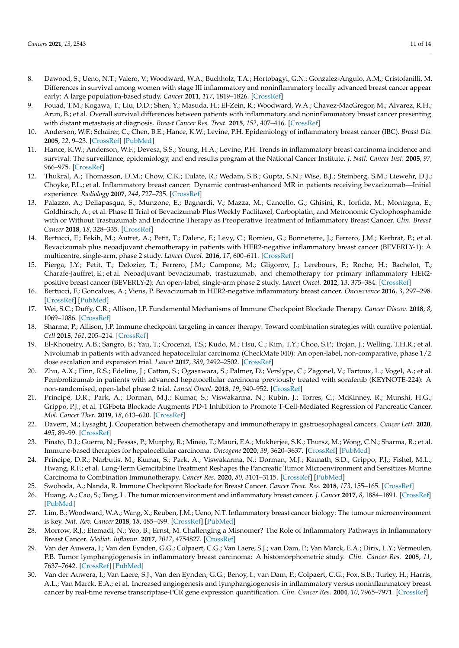- <span id="page-10-0"></span>8. Dawood, S.; Ueno, N.T.; Valero, V.; Woodward, W.A.; Buchholz, T.A.; Hortobagyi, G.N.; Gonzalez-Angulo, A.M.; Cristofanilli, M. Differences in survival among women with stage III inflammatory and noninflammatory locally advanced breast cancer appear early: A large population-based study. *Cancer* **2011**, *117*, 1819–1826. [\[CrossRef\]](http://doi.org/10.1002/cncr.25682)
- <span id="page-10-1"></span>9. Fouad, T.M.; Kogawa, T.; Liu, D.D.; Shen, Y.; Masuda, H.; El-Zein, R.; Woodward, W.A.; Chavez-MacGregor, M.; Alvarez, R.H.; Arun, B.; et al. Overall survival differences between patients with inflammatory and noninflammatory breast cancer presenting with distant metastasis at diagnosis. *Breast Cancer Res. Treat.* **2015**, *152*, 407–416. [\[CrossRef\]](http://doi.org/10.1007/s10549-015-3436-x)
- <span id="page-10-2"></span>10. Anderson, W.F.; Schairer, C.; Chen, B.E.; Hance, K.W.; Levine, P.H. Epidemiology of inflammatory breast cancer (IBC). *Breast Dis.* **2005**, *22*, 9–23. [\[CrossRef\]](http://doi.org/10.3233/BD-2006-22103) [\[PubMed\]](http://www.ncbi.nlm.nih.gov/pubmed/16735783)
- <span id="page-10-3"></span>11. Hance, K.W.; Anderson, W.F.; Devesa, S.S.; Young, H.A.; Levine, P.H. Trends in inflammatory breast carcinoma incidence and survival: The surveillance, epidemiology, and end results program at the National Cancer Institute. *J. Natl. Cancer Inst.* **2005**, *97*, 966–975. [\[CrossRef\]](http://doi.org/10.1093/jnci/dji172)
- <span id="page-10-4"></span>12. Thukral, A.; Thomasson, D.M.; Chow, C.K.; Eulate, R.; Wedam, S.B.; Gupta, S.N.; Wise, B.J.; Steinberg, S.M.; Liewehr, D.J.; Choyke, P.L.; et al. Inflammatory breast cancer: Dynamic contrast-enhanced MR in patients receiving bevacizumab—Initial experience. *Radiology* **2007**, *244*, 727–735. [\[CrossRef\]](http://doi.org/10.1148/radiol.2443060926)
- <span id="page-10-5"></span>13. Palazzo, A.; Dellapasqua, S.; Munzone, E.; Bagnardi, V.; Mazza, M.; Cancello, G.; Ghisini, R.; Iorfida, M.; Montagna, E.; Goldhirsch, A.; et al. Phase II Trial of Bevacizumab Plus Weekly Paclitaxel, Carboplatin, and Metronomic Cyclophosphamide with or Without Trastuzumab and Endocrine Therapy as Preoperative Treatment of Inflammatory Breast Cancer. *Clin. Breast Cancer* **2018**, *18*, 328–335. [\[CrossRef\]](http://doi.org/10.1016/j.clbc.2018.01.010)
- <span id="page-10-6"></span>14. Bertucci, F.; Fekih, M.; Autret, A.; Petit, T.; Dalenc, F.; Levy, C.; Romieu, G.; Bonneterre, J.; Ferrero, J.M.; Kerbrat, P.; et al. Bevacizumab plus neoadjuvant chemotherapy in patients with HER2-negative inflammatory breast cancer (BEVERLY-1): A multicentre, single-arm, phase 2 study. *Lancet Oncol.* **2016**, *17*, 600–611. [\[CrossRef\]](http://doi.org/10.1016/S1470-2045(16)00011-5)
- <span id="page-10-7"></span>15. Pierga, J.Y.; Petit, T.; Delozier, T.; Ferrero, J.M.; Campone, M.; Gligorov, J.; Lerebours, F.; Roche, H.; Bachelot, T.; Charafe-Jauffret, E.; et al. Neoadjuvant bevacizumab, trastuzumab, and chemotherapy for primary inflammatory HER2 positive breast cancer (BEVERLY-2): An open-label, single-arm phase 2 study. *Lancet Oncol.* **2012**, *13*, 375–384. [\[CrossRef\]](http://doi.org/10.1016/S1470-2045(12)70049-9)
- <span id="page-10-8"></span>16. Bertucci, F.; Goncalves, A.; Viens, P. Bevacizumab in HER2-negative inflammatory breast cancer. *Oncoscience* **2016**, *3*, 297–298. [\[CrossRef\]](http://doi.org/10.18632/oncoscience.324) [\[PubMed\]](http://www.ncbi.nlm.nih.gov/pubmed/28105446)
- <span id="page-10-9"></span>17. Wei, S.C.; Duffy, C.R.; Allison, J.P. Fundamental Mechanisms of Immune Checkpoint Blockade Therapy. *Cancer Discov.* **2018**, *8*, 1069–1086. [\[CrossRef\]](http://doi.org/10.1158/2159-8290.CD-18-0367)
- <span id="page-10-10"></span>18. Sharma, P.; Allison, J.P. Immune checkpoint targeting in cancer therapy: Toward combination strategies with curative potential. *Cell* **2015**, *161*, 205–214. [\[CrossRef\]](http://doi.org/10.1016/j.cell.2015.03.030)
- <span id="page-10-11"></span>19. El-Khoueiry, A.B.; Sangro, B.; Yau, T.; Crocenzi, T.S.; Kudo, M.; Hsu, C.; Kim, T.Y.; Choo, S.P.; Trojan, J.; Welling, T.H.R.; et al. Nivolumab in patients with advanced hepatocellular carcinoma (CheckMate 040): An open-label, non-comparative, phase 1/2 dose escalation and expansion trial. *Lancet* **2017**, *389*, 2492–2502. [\[CrossRef\]](http://doi.org/10.1016/S0140-6736(17)31046-2)
- 20. Zhu, A.X.; Finn, R.S.; Edeline, J.; Cattan, S.; Ogasawara, S.; Palmer, D.; Verslype, C.; Zagonel, V.; Fartoux, L.; Vogel, A.; et al. Pembrolizumab in patients with advanced hepatocellular carcinoma previously treated with sorafenib (KEYNOTE-224): A non-randomised, open-label phase 2 trial. *Lancet Oncol.* **2018**, *19*, 940–952. [\[CrossRef\]](http://doi.org/10.1016/S1470-2045(18)30351-6)
- 21. Principe, D.R.; Park, A.; Dorman, M.J.; Kumar, S.; Viswakarma, N.; Rubin, J.; Torres, C.; McKinney, R.; Munshi, H.G.; Grippo, P.J.; et al. TGFbeta Blockade Augments PD-1 Inhibition to Promote T-Cell-Mediated Regression of Pancreatic Cancer. *Mol. Cancer Ther.* **2019**, *18*, 613–620. [\[CrossRef\]](http://doi.org/10.1158/1535-7163.MCT-18-0850)
- 22. Davern, M.; Lysaght, J. Cooperation between chemotherapy and immunotherapy in gastroesophageal cancers. *Cancer Lett.* **2020**, *495*, 89–99. [\[CrossRef\]](http://doi.org/10.1016/j.canlet.2020.09.014)
- 23. Pinato, D.J.; Guerra, N.; Fessas, P.; Murphy, R.; Mineo, T.; Mauri, F.A.; Mukherjee, S.K.; Thursz, M.; Wong, C.N.; Sharma, R.; et al. Immune-based therapies for hepatocellular carcinoma. *Oncogene* **2020**, *39*, 3620–3637. [\[CrossRef\]](http://doi.org/10.1038/s41388-020-1249-9) [\[PubMed\]](http://www.ncbi.nlm.nih.gov/pubmed/32157213)
- <span id="page-10-12"></span>24. Principe, D.R.; Narbutis, M.; Kumar, S.; Park, A.; Viswakarma, N.; Dorman, M.J.; Kamath, S.D.; Grippo, P.J.; Fishel, M.L.; Hwang, R.F.; et al. Long-Term Gemcitabine Treatment Reshapes the Pancreatic Tumor Microenvironment and Sensitizes Murine Carcinoma to Combination Immunotherapy. *Cancer Res.* **2020**, *80*, 3101–3115. [\[CrossRef\]](http://doi.org/10.1158/0008-5472.CAN-19-2959) [\[PubMed\]](http://www.ncbi.nlm.nih.gov/pubmed/32238357)
- <span id="page-10-13"></span>25. Swoboda, A.; Nanda, R. Immune Checkpoint Blockade for Breast Cancer. *Cancer Treat. Res.* **2018**, *173*, 155–165. [\[CrossRef\]](http://doi.org/10.1007/978-3-319-70197-4_10)
- <span id="page-10-14"></span>26. Huang, A.; Cao, S.; Tang, L. The tumor microenvironment and inflammatory breast cancer. *J. Cancer* **2017**, *8*, 1884–1891. [\[CrossRef\]](http://doi.org/10.7150/jca.17595) [\[PubMed\]](http://www.ncbi.nlm.nih.gov/pubmed/28819386)
- <span id="page-10-16"></span>27. Lim, B.; Woodward, W.A.; Wang, X.; Reuben, J.M.; Ueno, N.T. Inflammatory breast cancer biology: The tumour microenvironment is key. *Nat. Rev. Cancer* **2018**, *18*, 485–499. [\[CrossRef\]](http://doi.org/10.1038/s41568-018-0010-y) [\[PubMed\]](http://www.ncbi.nlm.nih.gov/pubmed/29703913)
- <span id="page-10-15"></span>28. Morrow, R.J.; Etemadi, N.; Yeo, B.; Ernst, M. Challenging a Misnomer? The Role of Inflammatory Pathways in Inflammatory Breast Cancer. *Mediat. Inflamm.* **2017**, *2017*, 4754827. [\[CrossRef\]](http://doi.org/10.1155/2017/4754827)
- <span id="page-10-17"></span>29. Van der Auwera, I.; Van den Eynden, G.G.; Colpaert, C.G.; Van Laere, S.J.; van Dam, P.; Van Marck, E.A.; Dirix, L.Y.; Vermeulen, P.B. Tumor lymphangiogenesis in inflammatory breast carcinoma: A histomorphometric study. *Clin. Cancer Res.* **2005**, *11*, 7637–7642. [\[CrossRef\]](http://doi.org/10.1158/1078-0432.CCR-05-1142) [\[PubMed\]](http://www.ncbi.nlm.nih.gov/pubmed/16278382)
- <span id="page-10-18"></span>30. Van der Auwera, I.; Van Laere, S.J.; Van den Eynden, G.G.; Benoy, I.; van Dam, P.; Colpaert, C.G.; Fox, S.B.; Turley, H.; Harris, A.L.; Van Marck, E.A.; et al. Increased angiogenesis and lymphangiogenesis in inflammatory versus noninflammatory breast cancer by real-time reverse transcriptase-PCR gene expression quantification. *Clin. Cancer Res.* **2004**, *10*, 7965–7971. [\[CrossRef\]](http://doi.org/10.1158/1078-0432.CCR-04-0063)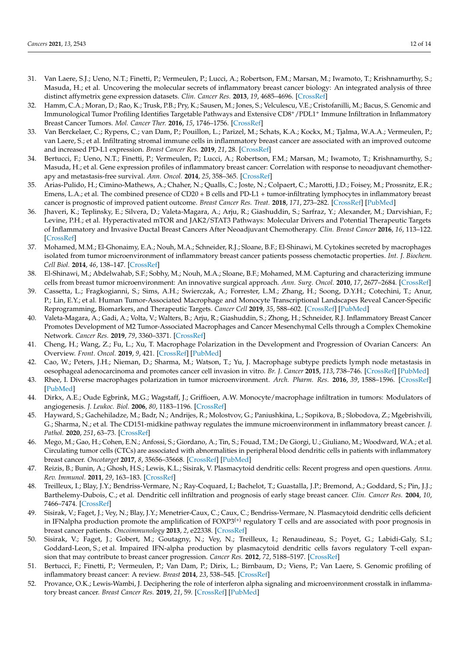- <span id="page-11-0"></span>31. Van Laere, S.J.; Ueno, N.T.; Finetti, P.; Vermeulen, P.; Lucci, A.; Robertson, F.M.; Marsan, M.; Iwamoto, T.; Krishnamurthy, S.; Masuda, H.; et al. Uncovering the molecular secrets of inflammatory breast cancer biology: An integrated analysis of three distinct affymetrix gene expression datasets. *Clin. Cancer Res.* **2013**, *19*, 4685–4696. [\[CrossRef\]](http://doi.org/10.1158/1078-0432.CCR-12-2549)
- <span id="page-11-1"></span>32. Hamm, C.A.; Moran, D.; Rao, K.; Trusk, P.B.; Pry, K.; Sausen, M.; Jones, S.; Velculescu, V.E.; Cristofanilli, M.; Bacus, S. Genomic and Immunological Tumor Profiling Identifies Targetable Pathways and Extensive CD8<sup>+</sup>/PDL1<sup>+</sup> Immune Infiltration in Inflammatory Breast Cancer Tumors. *Mol. Cancer Ther.* **2016**, *15*, 1746–1756. [\[CrossRef\]](http://doi.org/10.1158/1535-7163.MCT-15-0353)
- <span id="page-11-2"></span>33. Van Berckelaer, C.; Rypens, C.; van Dam, P.; Pouillon, L.; Parizel, M.; Schats, K.A.; Kockx, M.; Tjalma, W.A.A.; Vermeulen, P.; van Laere, S.; et al. Infiltrating stromal immune cells in inflammatory breast cancer are associated with an improved outcome and increased PD-L1 expression. *Breast Cancer Res.* **2019**, *21*, 28. [\[CrossRef\]](http://doi.org/10.1186/s13058-019-1108-1)
- <span id="page-11-3"></span>34. Bertucci, F.; Ueno, N.T.; Finetti, P.; Vermeulen, P.; Lucci, A.; Robertson, F.M.; Marsan, M.; Iwamoto, T.; Krishnamurthy, S.; Masuda, H.; et al. Gene expression profiles of inflammatory breast cancer: Correlation with response to neoadjuvant chemotherapy and metastasis-free survival. *Ann. Oncol.* **2014**, *25*, 358–365. [\[CrossRef\]](http://doi.org/10.1093/annonc/mdt496)
- <span id="page-11-4"></span>35. Arias-Pulido, H.; Cimino-Mathews, A.; Chaher, N.; Qualls, C.; Joste, N.; Colpaert, C.; Marotti, J.D.; Foisey, M.; Prossnitz, E.R.; Emens, L.A.; et al. The combined presence of CD20 + B cells and PD-L1 + tumor-infiltrating lymphocytes in inflammatory breast cancer is prognostic of improved patient outcome. *Breast Cancer Res. Treat.* **2018**, *171*, 273–282. [\[CrossRef\]](http://doi.org/10.1007/s10549-018-4834-7) [\[PubMed\]](http://www.ncbi.nlm.nih.gov/pubmed/29858752)
- <span id="page-11-5"></span>36. Jhaveri, K.; Teplinsky, E.; Silvera, D.; Valeta-Magara, A.; Arju, R.; Giashuddin, S.; Sarfraz, Y.; Alexander, M.; Darvishian, F.; Levine, P.H.; et al. Hyperactivated mTOR and JAK2/STAT3 Pathways: Molecular Drivers and Potential Therapeutic Targets of Inflammatory and Invasive Ductal Breast Cancers After Neoadjuvant Chemotherapy. *Clin. Breast Cancer* **2016**, *16*, 113–122. [\[CrossRef\]](http://doi.org/10.1016/j.clbc.2015.11.006)
- <span id="page-11-7"></span>37. Mohamed, M.M.; El-Ghonaimy, E.A.; Nouh, M.A.; Schneider, R.J.; Sloane, B.F.; El-Shinawi, M. Cytokines secreted by macrophages isolated from tumor microenvironment of inflammatory breast cancer patients possess chemotactic properties. *Int. J. Biochem. Cell Biol.* **2014**, *46*, 138–147. [\[CrossRef\]](http://doi.org/10.1016/j.biocel.2013.11.015)
- <span id="page-11-6"></span>38. El-Shinawi, M.; Abdelwahab, S.F.; Sobhy, M.; Nouh, M.A.; Sloane, B.F.; Mohamed, M.M. Capturing and characterizing immune cells from breast tumor microenvironment: An innovative surgical approach. *Ann. Surg. Oncol.* **2010**, *17*, 2677–2684. [\[CrossRef\]](http://doi.org/10.1245/s10434-010-1029-9)
- <span id="page-11-8"></span>39. Cassetta, L.; Fragkogianni, S.; Sims, A.H.; Swierczak, A.; Forrester, L.M.; Zhang, H.; Soong, D.Y.H.; Cotechini, T.; Anur, P.; Lin, E.Y.; et al. Human Tumor-Associated Macrophage and Monocyte Transcriptional Landscapes Reveal Cancer-Specific Reprogramming, Biomarkers, and Therapeutic Targets. *Cancer Cell* **2019**, *35*, 588–602. [\[CrossRef\]](http://doi.org/10.1016/j.ccell.2019.02.009) [\[PubMed\]](http://www.ncbi.nlm.nih.gov/pubmed/30930117)
- <span id="page-11-9"></span>40. Valeta-Magara, A.; Gadi, A.; Volta, V.; Walters, B.; Arju, R.; Giashuddin, S.; Zhong, H.; Schneider, R.J. Inflammatory Breast Cancer Promotes Development of M2 Tumor-Associated Macrophages and Cancer Mesenchymal Cells through a Complex Chemokine Network. *Cancer Res.* **2019**, *79*, 3360–3371. [\[CrossRef\]](http://doi.org/10.1158/0008-5472.CAN-17-2158)
- <span id="page-11-10"></span>41. Cheng, H.; Wang, Z.; Fu, L.; Xu, T. Macrophage Polarization in the Development and Progression of Ovarian Cancers: An Overview. *Front. Oncol.* **2019**, *9*, 421. [\[CrossRef\]](http://doi.org/10.3389/fonc.2019.00421) [\[PubMed\]](http://www.ncbi.nlm.nih.gov/pubmed/31192126)
- 42. Cao, W.; Peters, J.H.; Nieman, D.; Sharma, M.; Watson, T.; Yu, J. Macrophage subtype predicts lymph node metastasis in oesophageal adenocarcinoma and promotes cancer cell invasion in vitro. *Br. J. Cancer* **2015**, *113*, 738–746. [\[CrossRef\]](http://doi.org/10.1038/bjc.2015.292) [\[PubMed\]](http://www.ncbi.nlm.nih.gov/pubmed/26263481)
- <span id="page-11-11"></span>43. Rhee, I. Diverse macrophages polarization in tumor microenvironment. *Arch. Pharm. Res.* **2016**, *39*, 1588–1596. [\[CrossRef\]](http://doi.org/10.1007/s12272-016-0820-y) [\[PubMed\]](http://www.ncbi.nlm.nih.gov/pubmed/27562774)
- <span id="page-11-12"></span>44. Dirkx, A.E.; Oude Egbrink, M.G.; Wagstaff, J.; Griffioen, A.W. Monocyte/macrophage infiltration in tumors: Modulators of angiogenesis. *J. Leukoc. Biol.* **2006**, *80*, 1183–1196. [\[CrossRef\]](http://doi.org/10.1189/jlb.0905495)
- <span id="page-11-13"></span>45. Hayward, S.; Gachehiladze, M.; Badr, N.; Andrijes, R.; Molostvov, G.; Paniushkina, L.; Sopikova, B.; Slobodova, Z.; Mgebrishvili, G.; Sharma, N.; et al. The CD151-midkine pathway regulates the immune microenvironment in inflammatory breast cancer. *J. Pathol.* **2020**, *251*, 63–73. [\[CrossRef\]](http://doi.org/10.1002/path.5415)
- <span id="page-11-14"></span>46. Mego, M.; Gao, H.; Cohen, E.N.; Anfossi, S.; Giordano, A.; Tin, S.; Fouad, T.M.; De Giorgi, U.; Giuliano, M.; Woodward, W.A.; et al. Circulating tumor cells (CTCs) are associated with abnormalities in peripheral blood dendritic cells in patients with inflammatory breast cancer. *Oncotarget* **2017**, *8*, 35656–35668. [\[CrossRef\]](http://doi.org/10.18632/oncotarget.10290) [\[PubMed\]](http://www.ncbi.nlm.nih.gov/pubmed/27374101)
- <span id="page-11-15"></span>47. Reizis, B.; Bunin, A.; Ghosh, H.S.; Lewis, K.L.; Sisirak, V. Plasmacytoid dendritic cells: Recent progress and open questions. *Annu. Rev. Immunol.* **2011**, *29*, 163–183. [\[CrossRef\]](http://doi.org/10.1146/annurev-immunol-031210-101345)
- <span id="page-11-16"></span>48. Treilleux, I.; Blay, J.Y.; Bendriss-Vermare, N.; Ray-Coquard, I.; Bachelot, T.; Guastalla, J.P.; Bremond, A.; Goddard, S.; Pin, J.J.; Barthelemy-Dubois, C.; et al. Dendritic cell infiltration and prognosis of early stage breast cancer. *Clin. Cancer Res.* **2004**, *10*, 7466–7474. [\[CrossRef\]](http://doi.org/10.1158/1078-0432.CCR-04-0684)
- <span id="page-11-17"></span>49. Sisirak, V.; Faget, J.; Vey, N.; Blay, J.Y.; Menetrier-Caux, C.; Caux, C.; Bendriss-Vermare, N. Plasmacytoid dendritic cells deficient in IFNalpha production promote the amplification of  $FOXP3^{(+)}$  regulatory T cells and are associated with poor prognosis in breast cancer patients. *Oncoimmunology* **2013**, *2*, e22338. [\[CrossRef\]](http://doi.org/10.4161/onci.22338)
- <span id="page-11-18"></span>50. Sisirak, V.; Faget, J.; Gobert, M.; Goutagny, N.; Vey, N.; Treilleux, I.; Renaudineau, S.; Poyet, G.; Labidi-Galy, S.I.; Goddard-Leon, S.; et al. Impaired IFN-alpha production by plasmacytoid dendritic cells favors regulatory T-cell expansion that may contribute to breast cancer progression. *Cancer Res.* **2012**, *72*, 5188–5197. [\[CrossRef\]](http://doi.org/10.1158/0008-5472.CAN-11-3468)
- <span id="page-11-19"></span>51. Bertucci, F.; Finetti, P.; Vermeulen, P.; Van Dam, P.; Dirix, L.; Birnbaum, D.; Viens, P.; Van Laere, S. Genomic profiling of inflammatory breast cancer: A review. *Breast* **2014**, *23*, 538–545. [\[CrossRef\]](http://doi.org/10.1016/j.breast.2014.06.008)
- <span id="page-11-20"></span>52. Provance, O.K.; Lewis-Wambi, J. Deciphering the role of interferon alpha signaling and microenvironment crosstalk in inflammatory breast cancer. *Breast Cancer Res.* **2019**, *21*, 59. [\[CrossRef\]](http://doi.org/10.1186/s13058-019-1140-1) [\[PubMed\]](http://www.ncbi.nlm.nih.gov/pubmed/31060575)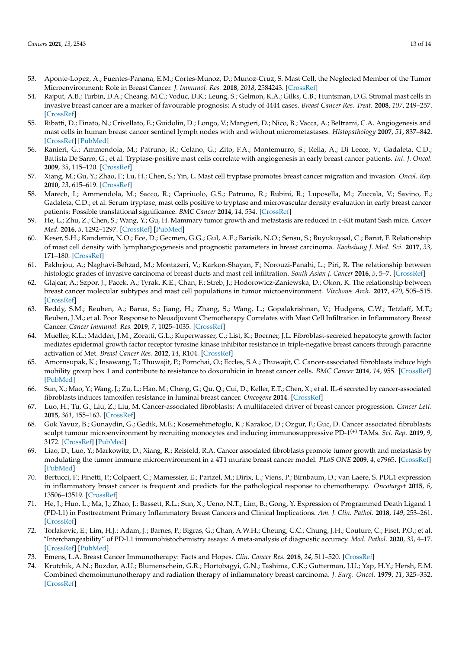- <span id="page-12-0"></span>53. Aponte-Lopez, A.; Fuentes-Panana, E.M.; Cortes-Munoz, D.; Munoz-Cruz, S. Mast Cell, the Neglected Member of the Tumor Microenvironment: Role in Breast Cancer. *J. Immunol. Res.* **2018**, *2018*, 2584243. [\[CrossRef\]](http://doi.org/10.1155/2018/2584243)
- <span id="page-12-1"></span>54. Rajput, A.B.; Turbin, D.A.; Cheang, M.C.; Voduc, D.K.; Leung, S.; Gelmon, K.A.; Gilks, C.B.; Huntsman, D.G. Stromal mast cells in invasive breast cancer are a marker of favourable prognosis: A study of 4444 cases. *Breast Cancer Res. Treat.* **2008**, *107*, 249–257. [\[CrossRef\]](http://doi.org/10.1007/s10549-007-9546-3)
- <span id="page-12-2"></span>55. Ribatti, D.; Finato, N.; Crivellato, E.; Guidolin, D.; Longo, V.; Mangieri, D.; Nico, B.; Vacca, A.; Beltrami, C.A. Angiogenesis and mast cells in human breast cancer sentinel lymph nodes with and without micrometastases. *Histopathology* **2007**, *51*, 837–842. [\[CrossRef\]](http://doi.org/10.1111/j.1365-2559.2007.02869.x) [\[PubMed\]](http://www.ncbi.nlm.nih.gov/pubmed/17944928)
- 56. Ranieri, G.; Ammendola, M.; Patruno, R.; Celano, G.; Zito, F.A.; Montemurro, S.; Rella, A.; Di Lecce, V.; Gadaleta, C.D.; Battista De Sarro, G.; et al. Tryptase-positive mast cells correlate with angiogenesis in early breast cancer patients. *Int. J. Oncol.* **2009**, *35*, 115–120. [\[CrossRef\]](http://doi.org/10.3892/ijo_00000319)
- 57. Xiang, M.; Gu, Y.; Zhao, F.; Lu, H.; Chen, S.; Yin, L. Mast cell tryptase promotes breast cancer migration and invasion. *Oncol. Rep.* **2010**, *23*, 615–619. [\[CrossRef\]](http://doi.org/10.3892/or_00000676)
- 58. Marech, I.; Ammendola, M.; Sacco, R.; Capriuolo, G.S.; Patruno, R.; Rubini, R.; Luposella, M.; Zuccala, V.; Savino, E.; Gadaleta, C.D.; et al. Serum tryptase, mast cells positive to tryptase and microvascular density evaluation in early breast cancer patients: Possible translational significance. *BMC Cancer* **2014**, *14*, 534. [\[CrossRef\]](http://doi.org/10.1186/1471-2407-14-534)
- 59. He, L.; Zhu, Z.; Chen, S.; Wang, Y.; Gu, H. Mammary tumor growth and metastasis are reduced in c-Kit mutant Sash mice. *Cancer Med.* **2016**, *5*, 1292–1297. [\[CrossRef\]](http://doi.org/10.1002/cam4.696) [\[PubMed\]](http://www.ncbi.nlm.nih.gov/pubmed/26992445)
- <span id="page-12-3"></span>60. Keser, S.H.; Kandemir, N.O.; Ece, D.; Gecmen, G.G.; Gul, A.E.; Barisik, N.O.; Sensu, S.; Buyukuysal, C.; Barut, F. Relationship of mast cell density with lymphangiogenesis and prognostic parameters in breast carcinoma. *Kaohsiung J. Med. Sci.* **2017**, *33*, 171–180. [\[CrossRef\]](http://doi.org/10.1016/j.kjms.2017.01.005)
- <span id="page-12-4"></span>61. Fakhrjou, A.; Naghavi-Behzad, M.; Montazeri, V.; Karkon-Shayan, F.; Norouzi-Panahi, L.; Piri, R. The relationship between histologic grades of invasive carcinoma of breast ducts and mast cell infiltration. *South Asian J. Cancer* **2016**, *5*, 5–7. [\[CrossRef\]](http://doi.org/10.4103/2278-330X.179699)
- <span id="page-12-5"></span>62. Glajcar, A.; Szpor, J.; Pacek, A.; Tyrak, K.E.; Chan, F.; Streb, J.; Hodorowicz-Zaniewska, D.; Okon, K. The relationship between breast cancer molecular subtypes and mast cell populations in tumor microenvironment. *Virchows Arch.* **2017**, *470*, 505–515. [\[CrossRef\]](http://doi.org/10.1007/s00428-017-2103-5)
- <span id="page-12-6"></span>63. Reddy, S.M.; Reuben, A.; Barua, S.; Jiang, H.; Zhang, S.; Wang, L.; Gopalakrishnan, V.; Hudgens, C.W.; Tetzlaff, M.T.; Reuben, J.M.; et al. Poor Response to Neoadjuvant Chemotherapy Correlates with Mast Cell Infiltration in Inflammatory Breast Cancer. *Cancer Immunol. Res.* **2019**, *7*, 1025–1035. [\[CrossRef\]](http://doi.org/10.1158/2326-6066.CIR-18-0619)
- <span id="page-12-7"></span>64. Mueller, K.L.; Madden, J.M.; Zoratti, G.L.; Kuperwasser, C.; List, K.; Boerner, J.L. Fibroblast-secreted hepatocyte growth factor mediates epidermal growth factor receptor tyrosine kinase inhibitor resistance in triple-negative breast cancers through paracrine activation of Met. *Breast Cancer Res.* **2012**, *14*, R104. [\[CrossRef\]](http://doi.org/10.1186/bcr3224)
- 65. Amornsupak, K.; Insawang, T.; Thuwajit, P.; Pornchai, O.; Eccles, S.A.; Thuwajit, C. Cancer-associated fibroblasts induce high mobility group box 1 and contribute to resistance to doxorubicin in breast cancer cells. *BMC Cancer* **2014**, *14*, 955. [\[CrossRef\]](http://doi.org/10.1186/1471-2407-14-955) [\[PubMed\]](http://www.ncbi.nlm.nih.gov/pubmed/25512109)
- 66. Sun, X.; Mao, Y.; Wang, J.; Zu, L.; Hao, M.; Cheng, G.; Qu, Q.; Cui, D.; Keller, E.T.; Chen, X.; et al. IL-6 secreted by cancer-associated fibroblasts induces tamoxifen resistance in luminal breast cancer. *Oncogene* **2014**. [\[CrossRef\]](http://doi.org/10.1038/onc.2014.158)
- <span id="page-12-8"></span>67. Luo, H.; Tu, G.; Liu, Z.; Liu, M. Cancer-associated fibroblasts: A multifaceted driver of breast cancer progression. *Cancer Lett.* **2015**, *361*, 155–163. [\[CrossRef\]](http://doi.org/10.1016/j.canlet.2015.02.018)
- <span id="page-12-9"></span>68. Gok Yavuz, B.; Gunaydin, G.; Gedik, M.E.; Kosemehmetoglu, K.; Karakoc, D.; Ozgur, F.; Guc, D. Cancer associated fibroblasts sculpt tumour microenvironment by recruiting monocytes and inducing immunosuppressive PD-1(+) TAMs. *Sci. Rep.* **2019**, *9*, 3172. [\[CrossRef\]](http://doi.org/10.1038/s41598-019-39553-z) [\[PubMed\]](http://www.ncbi.nlm.nih.gov/pubmed/30816272)
- <span id="page-12-10"></span>69. Liao, D.; Luo, Y.; Markowitz, D.; Xiang, R.; Reisfeld, R.A. Cancer associated fibroblasts promote tumor growth and metastasis by modulating the tumor immune microenvironment in a 4T1 murine breast cancer model. *PLoS ONE* **2009**, *4*, e7965. [\[CrossRef\]](http://doi.org/10.1371/journal.pone.0007965) [\[PubMed\]](http://www.ncbi.nlm.nih.gov/pubmed/19956757)
- <span id="page-12-11"></span>70. Bertucci, F.; Finetti, P.; Colpaert, C.; Mamessier, E.; Parizel, M.; Dirix, L.; Viens, P.; Birnbaum, D.; van Laere, S. PDL1 expression in inflammatory breast cancer is frequent and predicts for the pathological response to chemotherapy. *Oncotarget* **2015**, *6*, 13506–13519. [\[CrossRef\]](http://doi.org/10.18632/oncotarget.3642)
- <span id="page-12-12"></span>71. He, J.; Huo, L.; Ma, J.; Zhao, J.; Bassett, R.L.; Sun, X.; Ueno, N.T.; Lim, B.; Gong, Y. Expression of Programmed Death Ligand 1 (PD-L1) in Posttreatment Primary Inflammatory Breast Cancers and Clinical Implications. *Am. J. Clin. Pathol.* **2018**, *149*, 253–261. [\[CrossRef\]](http://doi.org/10.1093/ajcp/aqx162)
- <span id="page-12-13"></span>72. Torlakovic, E.; Lim, H.J.; Adam, J.; Barnes, P.; Bigras, G.; Chan, A.W.H.; Cheung, C.C.; Chung, J.H.; Couture, C.; Fiset, P.O.; et al. "Interchangeability" of PD-L1 immunohistochemistry assays: A meta-analysis of diagnostic accuracy. *Mod. Pathol.* **2020**, *33*, 4–17. [\[CrossRef\]](http://doi.org/10.1038/s41379-019-0327-4) [\[PubMed\]](http://www.ncbi.nlm.nih.gov/pubmed/31383961)
- <span id="page-12-14"></span>73. Emens, L.A. Breast Cancer Immunotherapy: Facts and Hopes. *Clin. Cancer Res.* **2018**, *24*, 511–520. [\[CrossRef\]](http://doi.org/10.1158/1078-0432.CCR-16-3001)
- <span id="page-12-15"></span>74. Krutchik, A.N.; Buzdar, A.U.; Blumenschein, G.R.; Hortobagyi, G.N.; Tashima, C.K.; Gutterman, J.U.; Yap, H.Y.; Hersh, E.M. Combined chemoimmunotherapy and radiation therapy of inflammatory breast carcinoma. *J. Surg. Oncol.* **1979**, *11*, 325–332. [\[CrossRef\]](http://doi.org/10.1002/jso.2930110407)